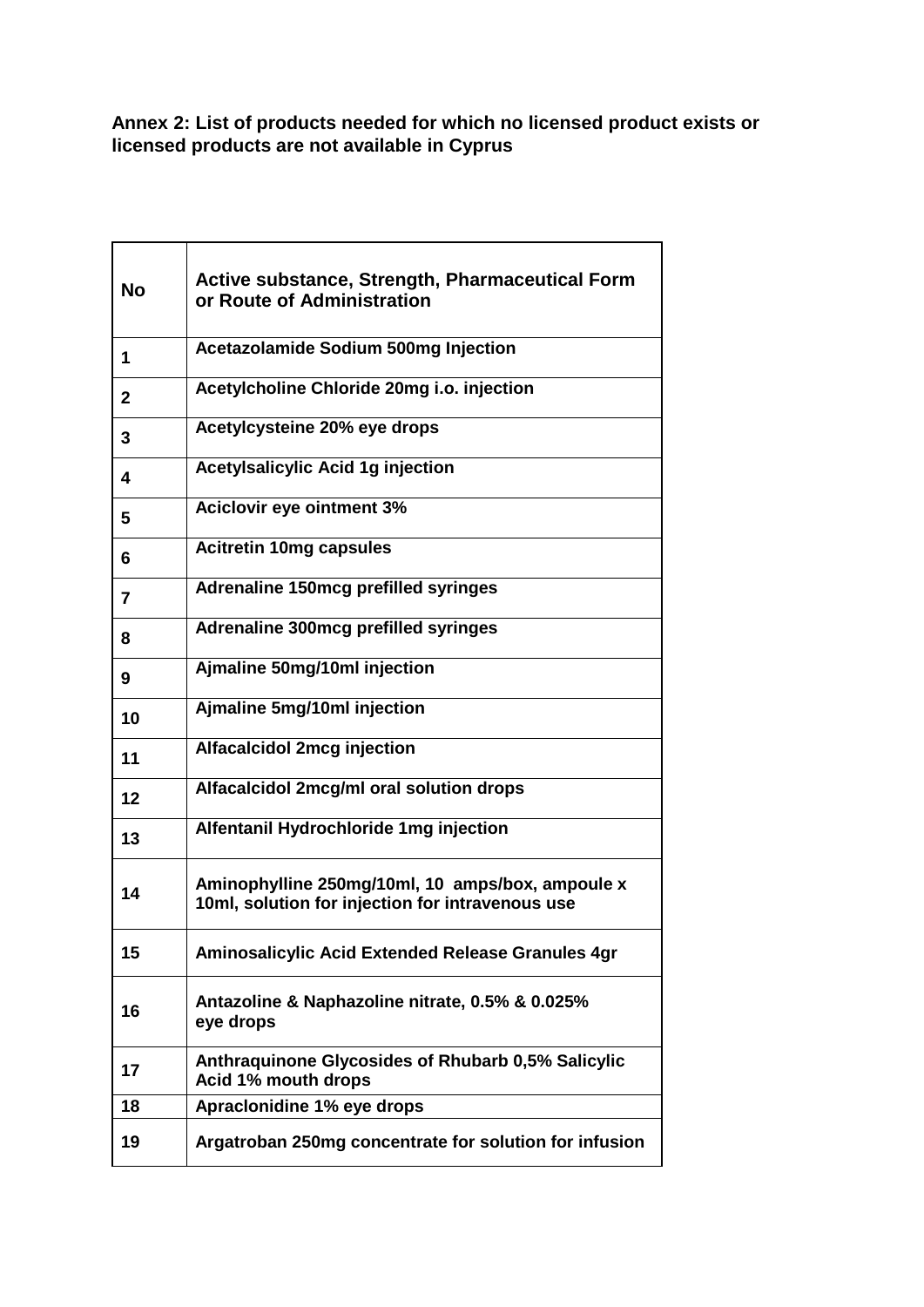**Annex 2: List of products needed for which no licensed product exists or licensed products are not available in Cyprus**

| <b>No</b>    | Active substance, Strength, Pharmaceutical Form<br>or Route of Administration                        |
|--------------|------------------------------------------------------------------------------------------------------|
| 1            | <b>Acetazolamide Sodium 500mg Injection</b>                                                          |
| $\mathbf{2}$ | Acetylcholine Chloride 20mg i.o. injection                                                           |
| 3            | Acetylcysteine 20% eye drops                                                                         |
| 4            | <b>Acetylsalicylic Acid 1g injection</b>                                                             |
| 5            | <b>Aciclovir eye ointment 3%</b>                                                                     |
| 6            | <b>Acitretin 10mg capsules</b>                                                                       |
| 7            | Adrenaline 150mcg prefilled syringes                                                                 |
| 8            | Adrenaline 300mcg prefilled syringes                                                                 |
| 9            | Ajmaline 50mg/10ml injection                                                                         |
| 10           | Ajmaline 5mg/10ml injection                                                                          |
| 11           | <b>Alfacalcidol 2mcg injection</b>                                                                   |
| 12           | Alfacalcidol 2mcg/ml oral solution drops                                                             |
| 13           | Alfentanil Hydrochloride 1mg injection                                                               |
| 14           | Aminophylline 250mg/10ml, 10 amps/box, ampoule x<br>10ml, solution for injection for intravenous use |
| 15           | Aminosalicylic Acid Extended Release Granules 4gr                                                    |
| 16           | Antazoline & Naphazoline nitrate, 0.5% & 0.025%<br>eye drops                                         |
| 17           | <b>Anthraquinone Glycosides of Rhubarb 0,5% Salicylic</b><br>Acid 1% mouth drops                     |
| 18           | Apraclonidine 1% eye drops                                                                           |
| 19           | Argatroban 250mg concentrate for solution for infusion                                               |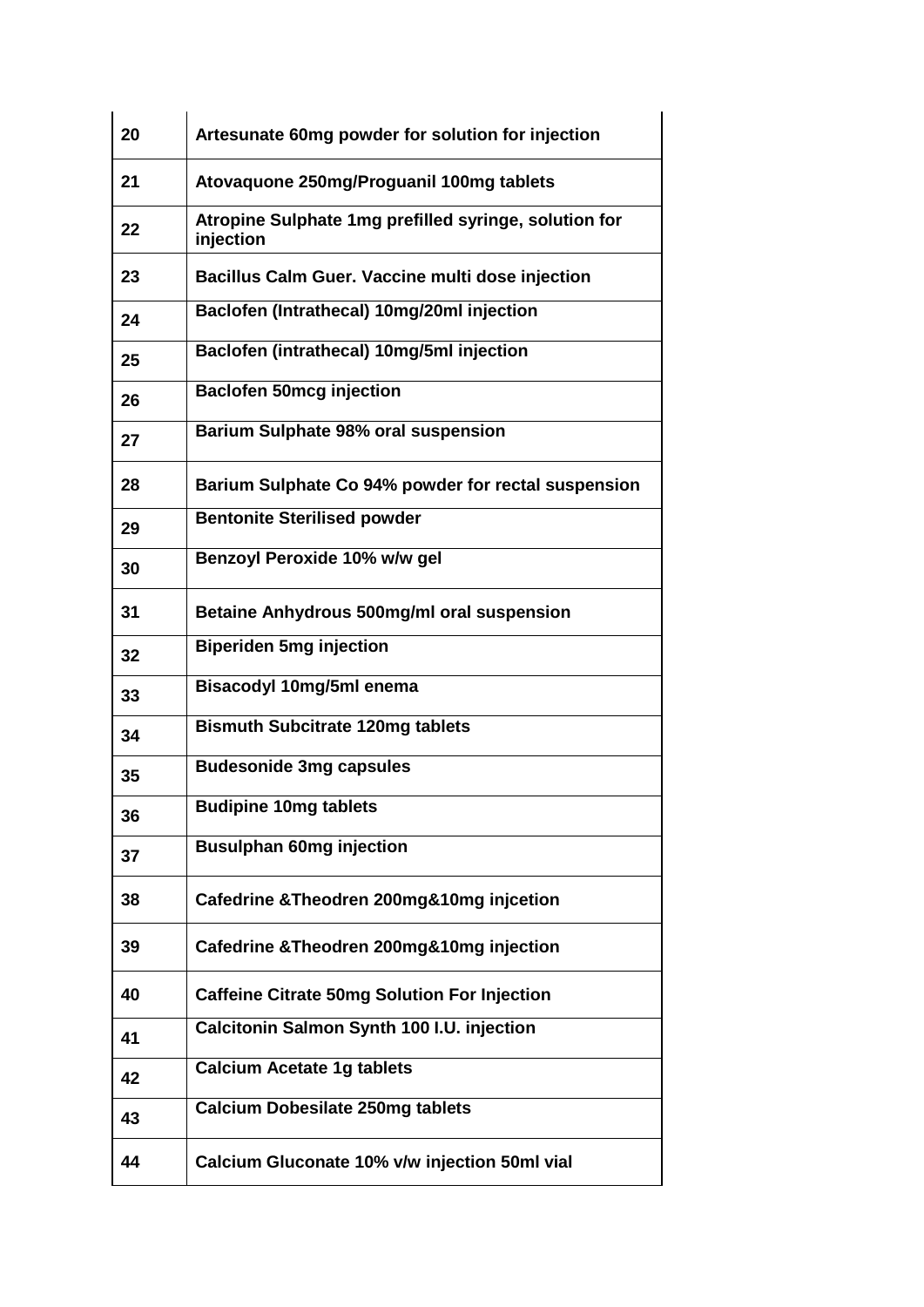| 20 | Artesunate 60mg powder for solution for injection                  |
|----|--------------------------------------------------------------------|
| 21 | Atovaquone 250mg/Proguanil 100mg tablets                           |
| 22 | Atropine Sulphate 1mg prefilled syringe, solution for<br>injection |
| 23 | Bacillus Calm Guer. Vaccine multi dose injection                   |
| 24 | Baclofen (Intrathecal) 10mg/20ml injection                         |
| 25 | Baclofen (intrathecal) 10mg/5ml injection                          |
| 26 | <b>Baclofen 50mcg injection</b>                                    |
| 27 | <b>Barium Sulphate 98% oral suspension</b>                         |
| 28 | Barium Sulphate Co 94% powder for rectal suspension                |
| 29 | <b>Bentonite Sterilised powder</b>                                 |
| 30 | Benzoyl Peroxide 10% w/w gel                                       |
| 31 | Betaine Anhydrous 500mg/ml oral suspension                         |
| 32 | <b>Biperiden 5mg injection</b>                                     |
| 33 | <b>Bisacodyl 10mg/5ml enema</b>                                    |
| 34 | <b>Bismuth Subcitrate 120mg tablets</b>                            |
| 35 | <b>Budesonide 3mg capsules</b>                                     |
| 36 | <b>Budipine 10mg tablets</b>                                       |
| 37 | <b>Busulphan 60mg injection</b>                                    |
| 38 | Cafedrine & Theodren 200mg&10mg injcetion                          |
| 39 | Cafedrine & Theodren 200mg&10mg injection                          |
| 40 | <b>Caffeine Citrate 50mg Solution For Injection</b>                |
| 41 | Calcitonin Salmon Synth 100 I.U. injection                         |
| 42 | <b>Calcium Acetate 1g tablets</b>                                  |
| 43 | <b>Calcium Dobesilate 250mg tablets</b>                            |
| 44 | Calcium Gluconate 10% v/w injection 50ml vial                      |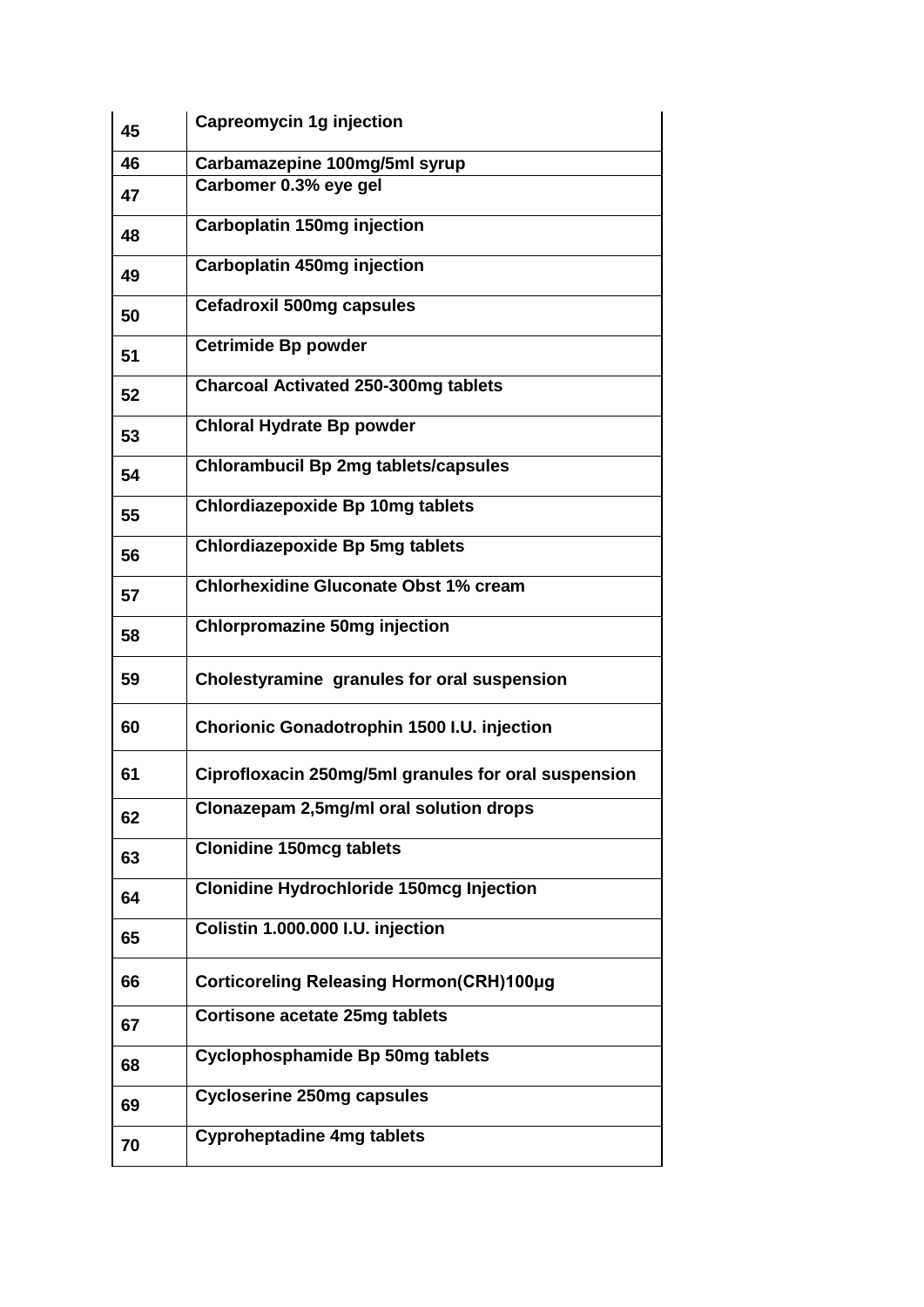| 45 | <b>Capreomycin 1g injection</b>                      |
|----|------------------------------------------------------|
| 46 | Carbamazepine 100mg/5ml syrup                        |
| 47 | Carbomer 0.3% eye gel                                |
| 48 | <b>Carboplatin 150mg injection</b>                   |
| 49 | Carboplatin 450mg injection                          |
| 50 | <b>Cefadroxil 500mg capsules</b>                     |
| 51 | <b>Cetrimide Bp powder</b>                           |
| 52 | <b>Charcoal Activated 250-300mg tablets</b>          |
| 53 | <b>Chloral Hydrate Bp powder</b>                     |
| 54 | <b>Chlorambucil Bp 2mg tablets/capsules</b>          |
| 55 | <b>Chlordiazepoxide Bp 10mg tablets</b>              |
| 56 | <b>Chlordiazepoxide Bp 5mg tablets</b>               |
| 57 | <b>Chlorhexidine Gluconate Obst 1% cream</b>         |
| 58 | <b>Chlorpromazine 50mg injection</b>                 |
| 59 | Cholestyramine granules for oral suspension          |
| 60 | Chorionic Gonadotrophin 1500 I.U. injection          |
| 61 | Ciprofloxacin 250mg/5ml granules for oral suspension |
| 62 | Clonazepam 2,5mg/ml oral solution drops              |
| 63 | <b>Clonidine 150mcg tablets</b>                      |
| 64 | <b>Clonidine Hydrochloride 150mcg Injection</b>      |
| 65 | Colistin 1.000.000 I.U. injection                    |
| 66 | Corticoreling Releasing Hormon(CRH)100µg             |
| 67 | <b>Cortisone acetate 25mg tablets</b>                |
| 68 | <b>Cyclophosphamide Bp 50mg tablets</b>              |
| 69 | <b>Cycloserine 250mg capsules</b>                    |
| 70 | <b>Cyproheptadine 4mg tablets</b>                    |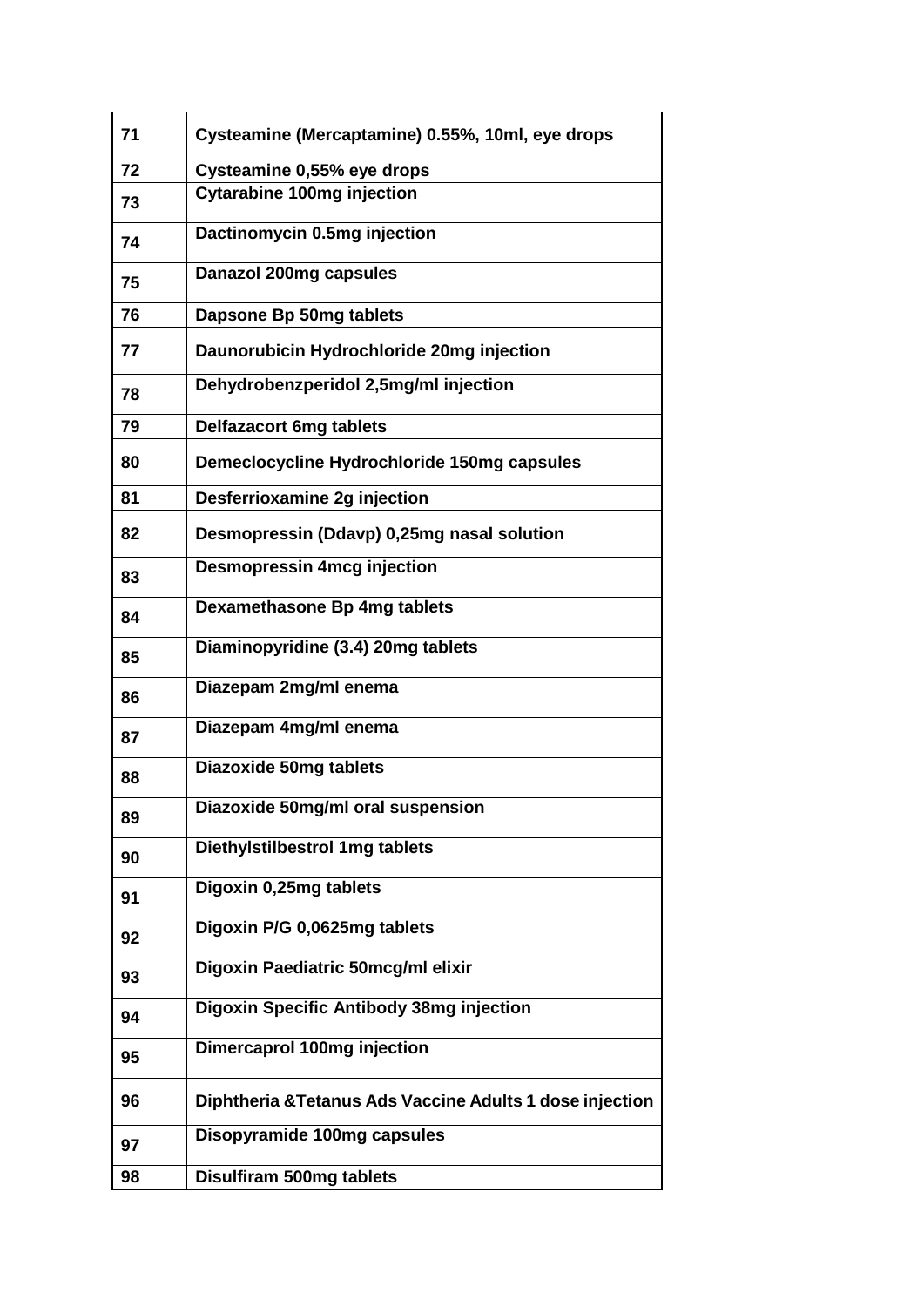| 71 | Cysteamine (Mercaptamine) 0.55%, 10ml, eye drops         |
|----|----------------------------------------------------------|
| 72 | Cysteamine 0,55% eye drops                               |
| 73 | <b>Cytarabine 100mg injection</b>                        |
| 74 | Dactinomycin 0.5mg injection                             |
| 75 | Danazol 200mg capsules                                   |
| 76 | Dapsone Bp 50mg tablets                                  |
| 77 | Daunorubicin Hydrochloride 20mg injection                |
| 78 | Dehydrobenzperidol 2,5mg/ml injection                    |
| 79 | <b>Delfazacort 6mg tablets</b>                           |
| 80 | Demeclocycline Hydrochloride 150mg capsules              |
| 81 | Desferrioxamine 2g injection                             |
| 82 | Desmopressin (Ddavp) 0,25mg nasal solution               |
| 83 | <b>Desmopressin 4mcg injection</b>                       |
| 84 | Dexamethasone Bp 4mg tablets                             |
| 85 | Diaminopyridine (3.4) 20mg tablets                       |
| 86 | Diazepam 2mg/ml enema                                    |
| 87 | Diazepam 4mg/ml enema                                    |
| 88 | <b>Diazoxide 50mg tablets</b>                            |
| 89 | Diazoxide 50mg/ml oral suspension                        |
| 90 | Diethylstilbestrol 1mg tablets                           |
| 91 | Digoxin 0,25mg tablets                                   |
| 92 | Digoxin P/G 0,0625mg tablets                             |
| 93 | Digoxin Paediatric 50mcg/ml elixir                       |
| 94 | <b>Digoxin Specific Antibody 38mg injection</b>          |
| 95 | Dimercaprol 100mg injection                              |
| 96 | Diphtheria & Tetanus Ads Vaccine Adults 1 dose injection |
| 97 | Disopyramide 100mg capsules                              |
| 98 | Disulfiram 500mg tablets                                 |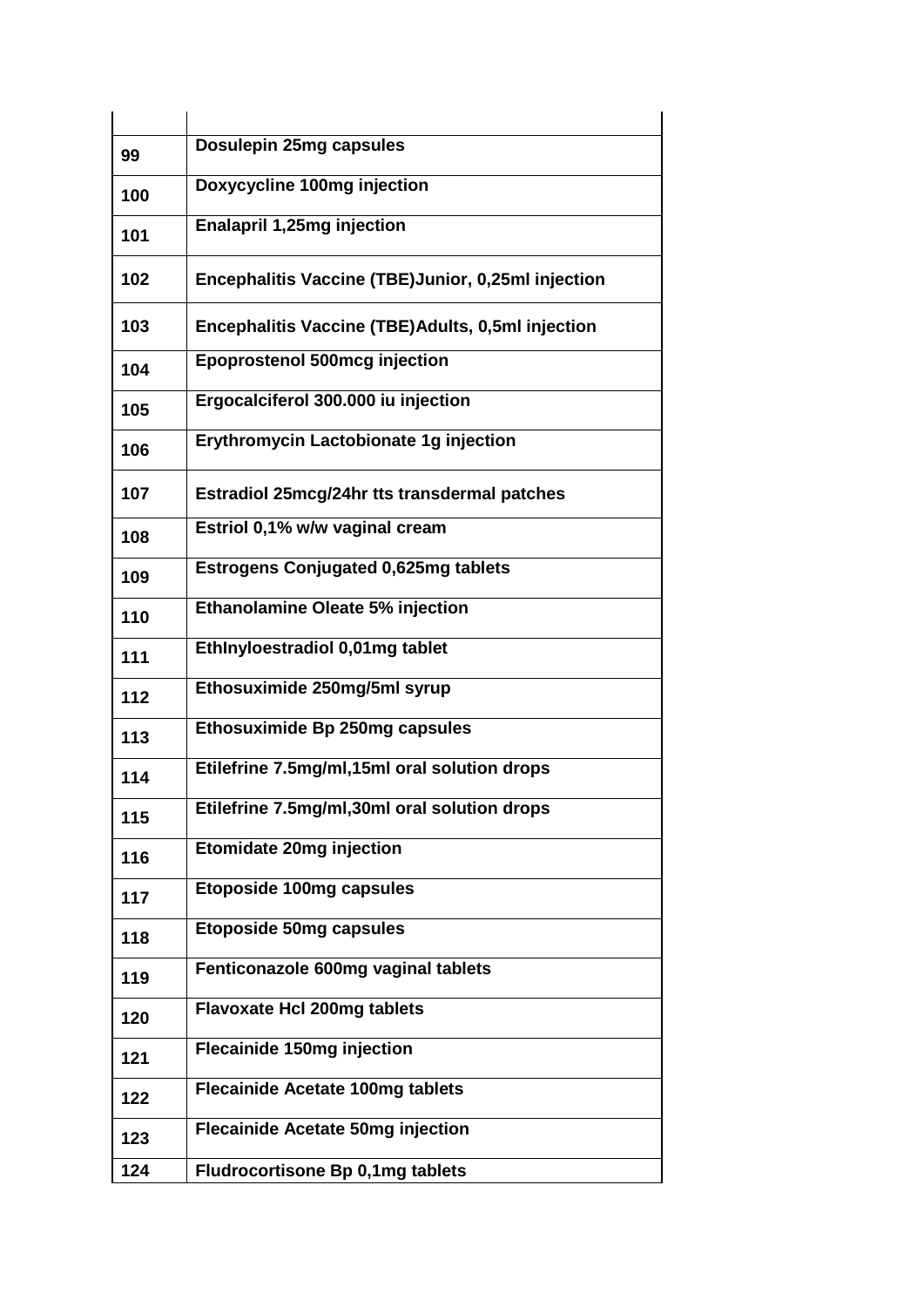| 99  | Dosulepin 25mg capsules                            |
|-----|----------------------------------------------------|
| 100 | Doxycycline 100mg injection                        |
| 101 | <b>Enalapril 1,25mg injection</b>                  |
| 102 | Encephalitis Vaccine (TBE)Junior, 0,25ml injection |
| 103 | Encephalitis Vaccine (TBE)Adults, 0,5ml injection  |
| 104 | <b>Epoprostenol 500mcg injection</b>               |
| 105 | Ergocalciferol 300.000 iu injection                |
| 106 | Erythromycin Lactobionate 1g injection             |
| 107 | Estradiol 25mcg/24hr tts transdermal patches       |
| 108 | Estriol 0,1% w/w vaginal cream                     |
| 109 | <b>Estrogens Conjugated 0,625mg tablets</b>        |
| 110 | Ethanolamine Oleate 5% injection                   |
| 111 | EthInyloestradiol 0,01mg tablet                    |
| 112 | Ethosuximide 250mg/5ml syrup                       |
| 113 | Ethosuximide Bp 250mg capsules                     |
| 114 | Etilefrine 7.5mg/ml,15ml oral solution drops       |
| 115 | Etilefrine 7.5mg/ml,30ml oral solution drops       |
| 116 | <b>Etomidate 20mg injection</b>                    |
| 117 | <b>Etoposide 100mg capsules</b>                    |
| 118 | <b>Etoposide 50mg capsules</b>                     |
| 119 | Fenticonazole 600mg vaginal tablets                |
| 120 | <b>Flavoxate Hcl 200mg tablets</b>                 |
| 121 | <b>Flecainide 150mg injection</b>                  |
| 122 | <b>Flecainide Acetate 100mg tablets</b>            |
| 123 | <b>Flecainide Acetate 50mg injection</b>           |
| 124 | <b>Fludrocortisone Bp 0,1mg tablets</b>            |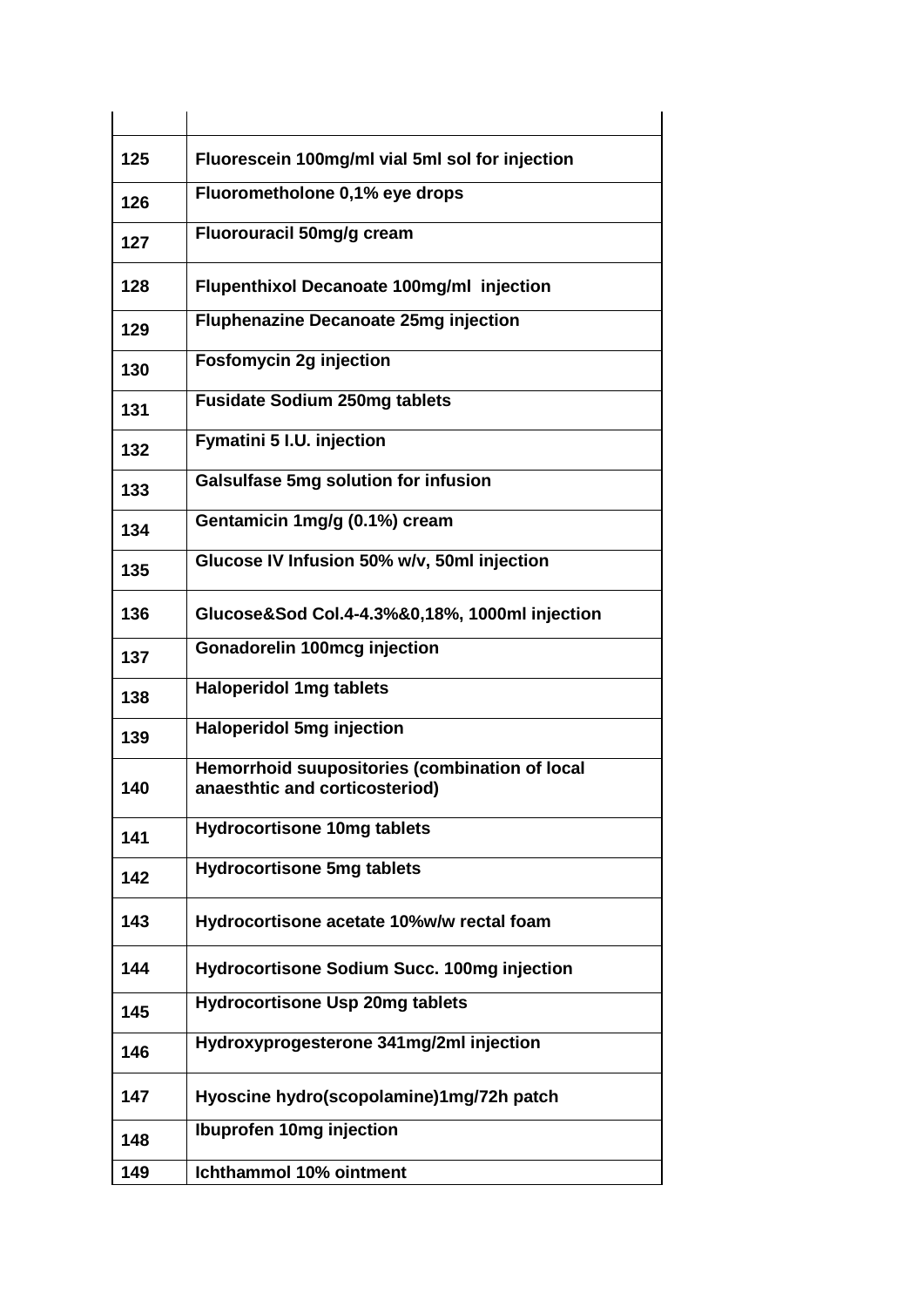| 125 | Fluorescein 100mg/ml vial 5ml sol for injection                                  |
|-----|----------------------------------------------------------------------------------|
| 126 | Fluorometholone 0,1% eye drops                                                   |
| 127 | Fluorouracil 50mg/g cream                                                        |
| 128 | <b>Flupenthixol Decanoate 100mg/ml injection</b>                                 |
| 129 | <b>Fluphenazine Decanoate 25mg injection</b>                                     |
| 130 | <b>Fosfomycin 2g injection</b>                                                   |
| 131 | <b>Fusidate Sodium 250mg tablets</b>                                             |
| 132 | <b>Fymatini 5 I.U. injection</b>                                                 |
| 133 | <b>Galsulfase 5mg solution for infusion</b>                                      |
| 134 | Gentamicin 1mg/g (0.1%) cream                                                    |
| 135 | Glucose IV Infusion 50% w/v, 50ml injection                                      |
| 136 | Glucose&Sod Col.4-4.3%&0,18%, 1000ml injection                                   |
| 137 | <b>Gonadorelin 100mcg injection</b>                                              |
| 138 | <b>Haloperidol 1mg tablets</b>                                                   |
| 139 | <b>Haloperidol 5mg injection</b>                                                 |
| 140 | Hemorrhoid suupositories (combination of local<br>anaesthtic and corticosteriod) |
| 141 | <b>Hydrocortisone 10mg tablets</b>                                               |
| 142 | <b>Hydrocortisone 5mg tablets</b>                                                |
| 143 | Hydrocortisone acetate 10%w/w rectal foam                                        |
| 144 | Hydrocortisone Sodium Succ. 100mg injection                                      |
| 145 | <b>Hydrocortisone Usp 20mg tablets</b>                                           |
| 146 | Hydroxyprogesterone 341mg/2ml injection                                          |
| 147 | Hyoscine hydro(scopolamine)1mg/72h patch                                         |
| 148 | Ibuprofen 10mg injection                                                         |
| 149 | Ichthammol 10% ointment                                                          |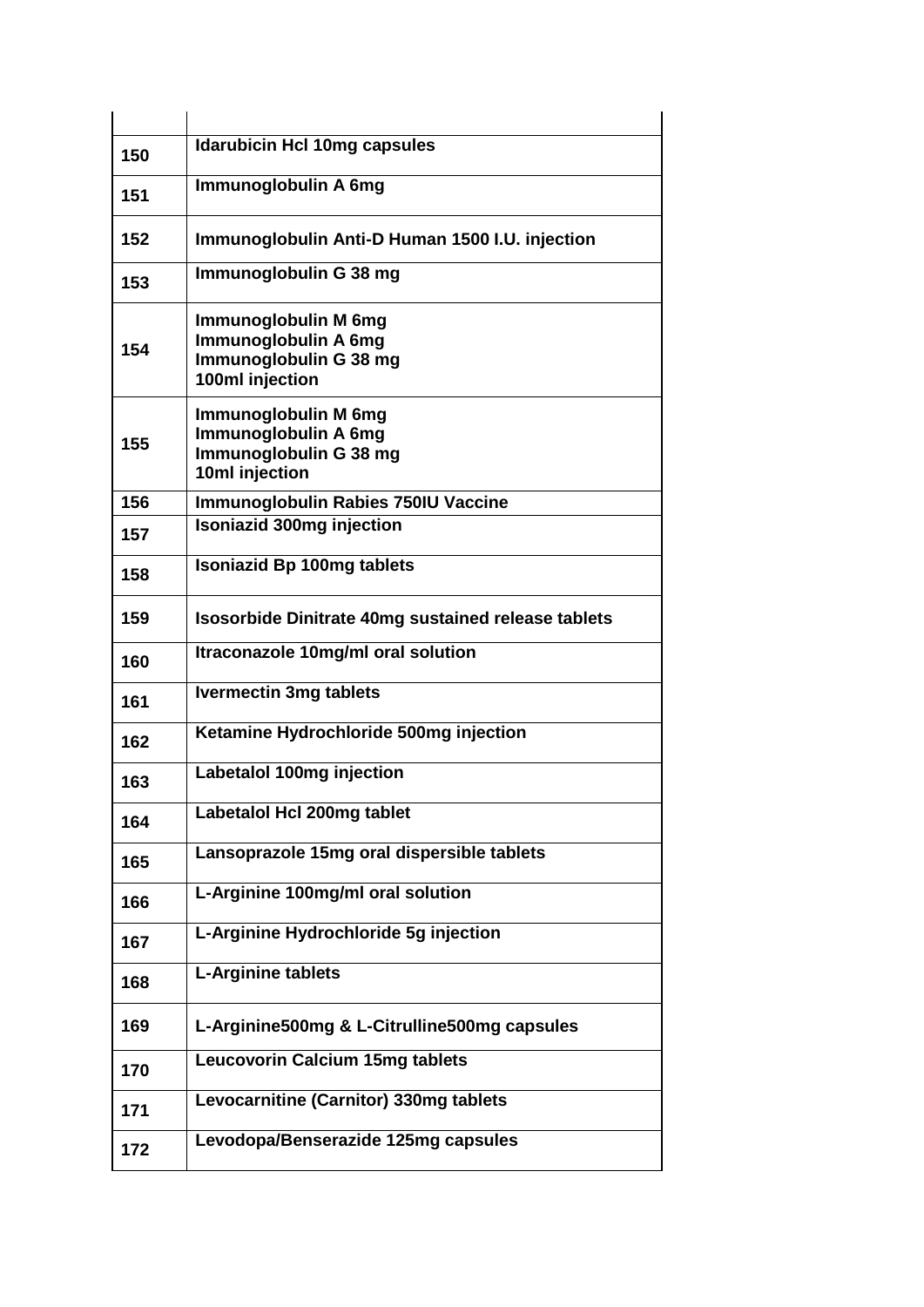| 150 | <b>Idarubicin Hcl 10mg capsules</b>                                                       |
|-----|-------------------------------------------------------------------------------------------|
| 151 | Immunoglobulin A 6mg                                                                      |
| 152 | Immunoglobulin Anti-D Human 1500 I.U. injection                                           |
| 153 | Immunoglobulin G 38 mg                                                                    |
| 154 | Immunoglobulin M 6mg<br>Immunoglobulin A 6mg<br>Immunoglobulin G 38 mg<br>100ml injection |
| 155 | Immunoglobulin M 6mg<br>Immunoglobulin A 6mg<br>Immunoglobulin G 38 mg<br>10ml injection  |
| 156 | <b>Immunoglobulin Rabies 750IU Vaccine</b>                                                |
| 157 | <b>Isoniazid 300mg injection</b>                                                          |
| 158 | <b>Isoniazid Bp 100mg tablets</b>                                                         |
| 159 | <b>Isosorbide Dinitrate 40mg sustained release tablets</b>                                |
| 160 | Itraconazole 10mg/ml oral solution                                                        |
| 161 | <b>Ivermectin 3mg tablets</b>                                                             |
| 162 | Ketamine Hydrochloride 500mg injection                                                    |
| 163 | Labetalol 100mg injection                                                                 |
| 164 | Labetalol Hcl 200mg tablet                                                                |
| 165 | Lansoprazole 15mg oral dispersible tablets                                                |
| 166 | L-Arginine 100mg/ml oral solution                                                         |
| 167 | L-Arginine Hydrochloride 5g injection                                                     |
| 168 | <b>L-Arginine tablets</b>                                                                 |
| 169 | L-Arginine500mg & L-Citrulline500mg capsules                                              |
| 170 | <b>Leucovorin Calcium 15mg tablets</b>                                                    |
| 171 | Levocarnitine (Carnitor) 330mg tablets                                                    |
| 172 | Levodopa/Benserazide 125mg capsules                                                       |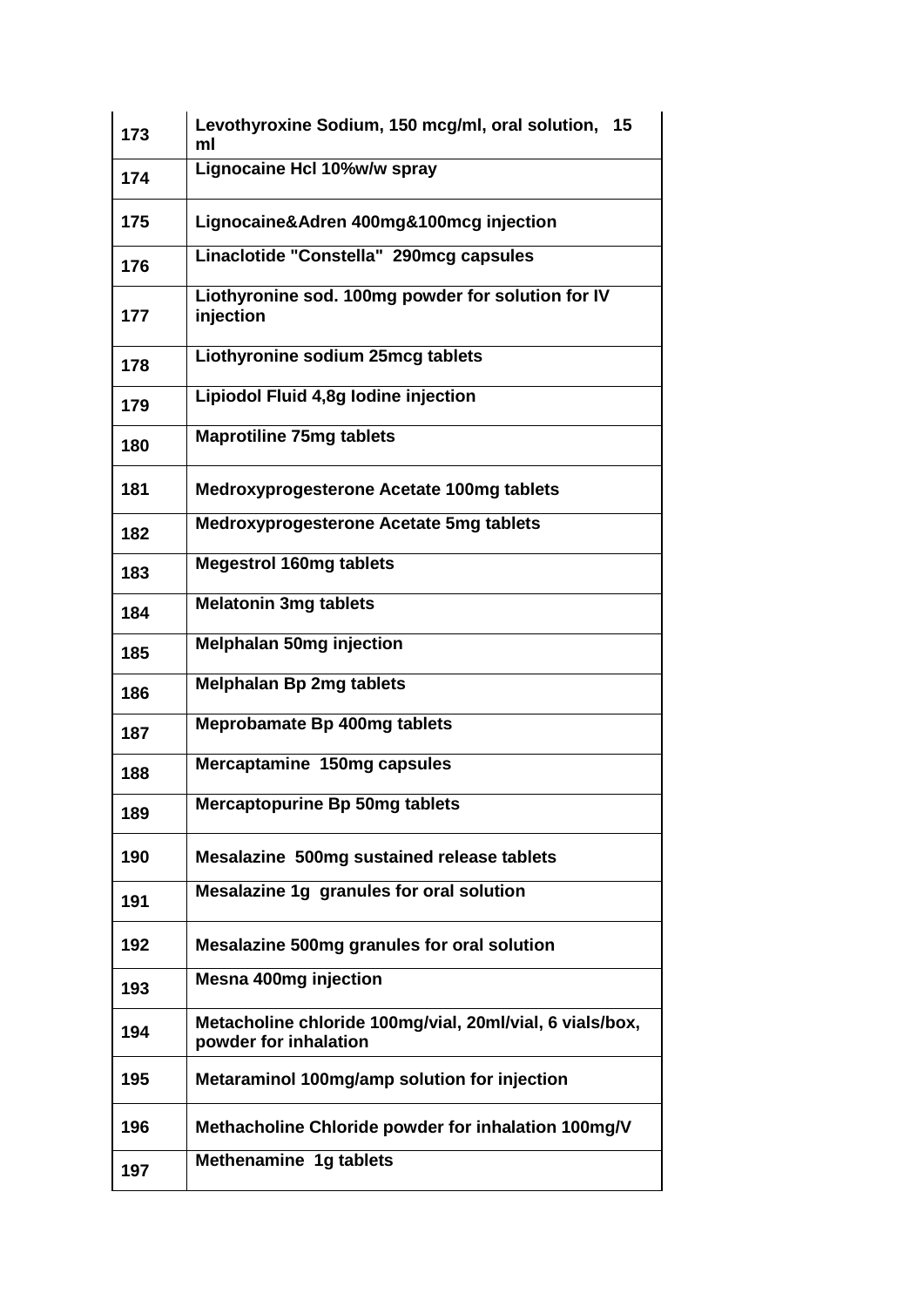| 173 | Levothyroxine Sodium, 150 mcg/ml, oral solution,<br>15<br>ml                      |
|-----|-----------------------------------------------------------------------------------|
| 174 | Lignocaine Hcl 10%w/w spray                                                       |
| 175 | Lignocaine&Adren 400mg&100mcg injection                                           |
| 176 | Linaclotide "Constella" 290mcg capsules                                           |
| 177 | Liothyronine sod. 100mg powder for solution for IV<br>injection                   |
| 178 | Liothyronine sodium 25mcg tablets                                                 |
| 179 | Lipiodol Fluid 4,8g lodine injection                                              |
| 180 | <b>Maprotiline 75mg tablets</b>                                                   |
| 181 | <b>Medroxyprogesterone Acetate 100mg tablets</b>                                  |
| 182 | <b>Medroxyprogesterone Acetate 5mg tablets</b>                                    |
| 183 | <b>Megestrol 160mg tablets</b>                                                    |
| 184 | <b>Melatonin 3mg tablets</b>                                                      |
| 185 | <b>Melphalan 50mg injection</b>                                                   |
| 186 | <b>Melphalan Bp 2mg tablets</b>                                                   |
| 187 | <b>Meprobamate Bp 400mg tablets</b>                                               |
| 188 | Mercaptamine 150mg capsules                                                       |
| 189 | Mercaptopurine Bp 50mg tablets                                                    |
| 190 | Mesalazine 500mg sustained release tablets                                        |
| 191 | Mesalazine 1g granules for oral solution                                          |
| 192 | Mesalazine 500mg granules for oral solution                                       |
| 193 | <b>Mesna 400mg injection</b>                                                      |
| 194 | Metacholine chloride 100mg/vial, 20ml/vial, 6 vials/box,<br>powder for inhalation |
| 195 | Metaraminol 100mg/amp solution for injection                                      |
| 196 | Methacholine Chloride powder for inhalation 100mg/V                               |
| 197 | Methenamine 1g tablets                                                            |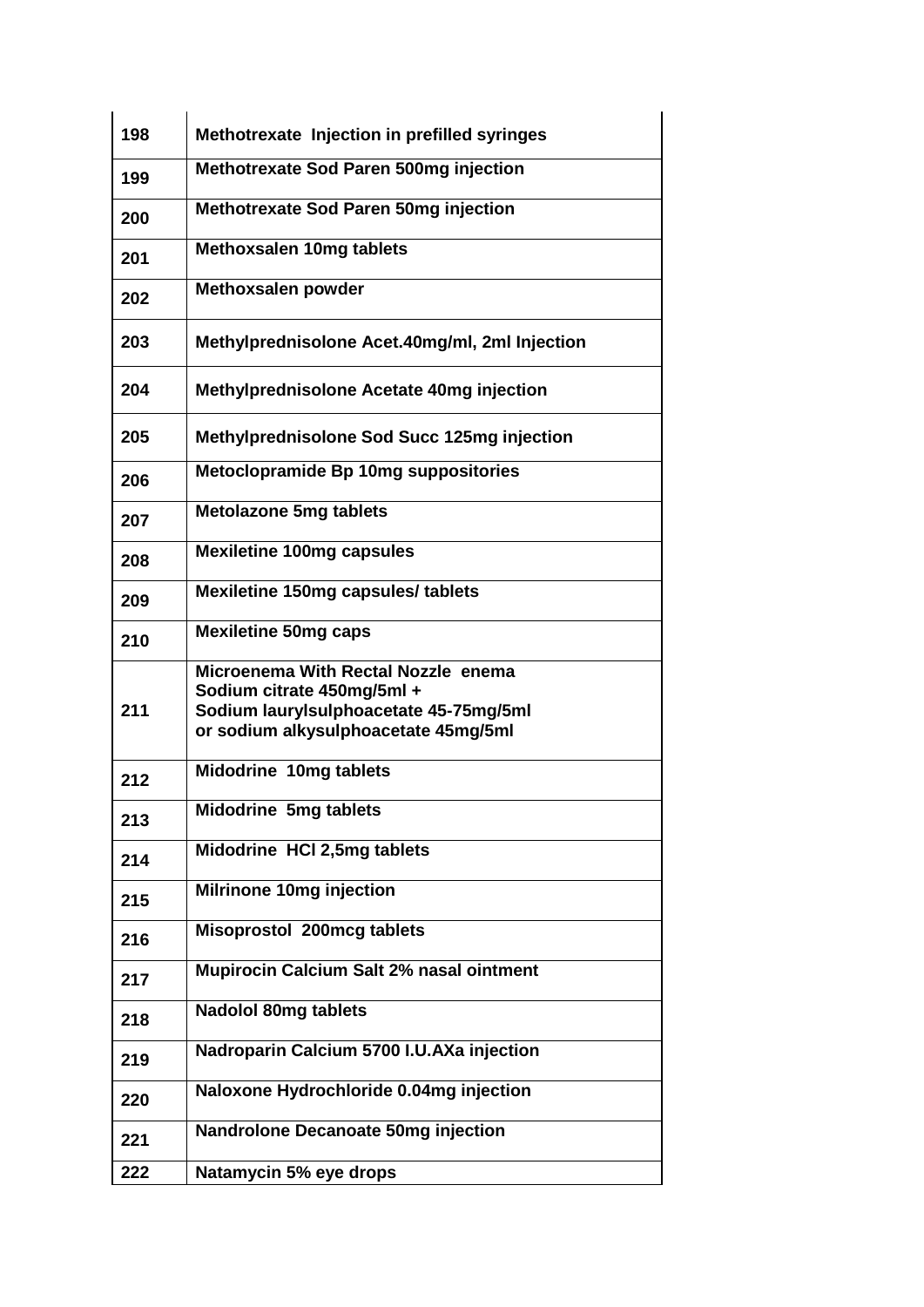| 198 | Methotrexate Injection in prefilled syringes                         |
|-----|----------------------------------------------------------------------|
|     |                                                                      |
| 199 | Methotrexate Sod Paren 500mg injection                               |
| 200 | <b>Methotrexate Sod Paren 50mg injection</b>                         |
| 201 | <b>Methoxsalen 10mg tablets</b>                                      |
| 202 | <b>Methoxsalen powder</b>                                            |
| 203 | Methylprednisolone Acet.40mg/ml, 2ml Injection                       |
| 204 | Methylprednisolone Acetate 40mg injection                            |
| 205 | Methylprednisolone Sod Succ 125mg injection                          |
| 206 | Metoclopramide Bp 10mg suppositories                                 |
| 207 | <b>Metolazone 5mg tablets</b>                                        |
| 208 | <b>Mexiletine 100mg capsules</b>                                     |
| 209 | Mexiletine 150mg capsules/ tablets                                   |
| 210 | <b>Mexiletine 50mg caps</b>                                          |
|     | Microenema With Rectal Nozzle enema                                  |
| 211 | Sodium citrate 450mg/5ml +<br>Sodium laurylsulphoacetate 45-75mg/5ml |
|     | or sodium alkysulphoacetate 45mg/5ml                                 |
| 212 | Midodrine 10mg tablets                                               |
| 213 | <b>Midodrine 5mg tablets</b>                                         |
|     |                                                                      |
| 214 | Midodrine HCI 2,5mg tablets                                          |
| 215 | Milrinone 10mg injection                                             |
| 216 | Misoprostol 200mcg tablets                                           |
| 217 | Mupirocin Calcium Salt 2% nasal ointment                             |
| 218 | <b>Nadolol 80mg tablets</b>                                          |
| 219 | Nadroparin Calcium 5700 I.U.AXa injection                            |
| 220 | Naloxone Hydrochloride 0.04mg injection                              |
| 221 | <b>Nandrolone Decanoate 50mg injection</b>                           |
| 222 | Natamycin 5% eye drops                                               |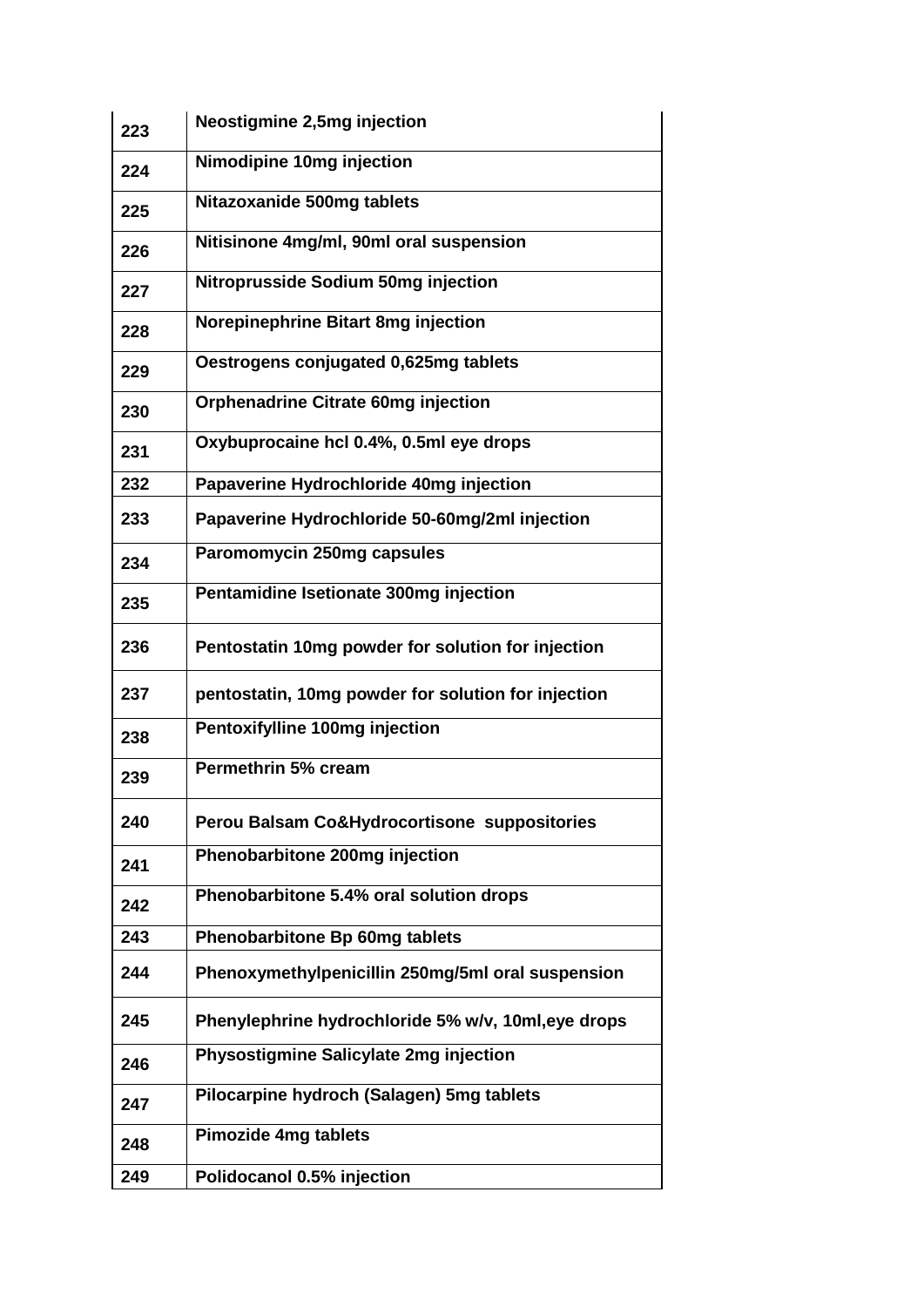| 223 | <b>Neostigmine 2,5mg injection</b>                  |
|-----|-----------------------------------------------------|
| 224 | Nimodipine 10mg injection                           |
| 225 | Nitazoxanide 500mg tablets                          |
| 226 | Nitisinone 4mg/ml, 90ml oral suspension             |
| 227 | <b>Nitroprusside Sodium 50mg injection</b>          |
| 228 | Norepinephrine Bitart 8mg injection                 |
| 229 | Oestrogens conjugated 0,625mg tablets               |
| 230 | <b>Orphenadrine Citrate 60mg injection</b>          |
| 231 | Oxybuprocaine hcl 0.4%, 0.5ml eye drops             |
| 232 | Papaverine Hydrochloride 40mg injection             |
| 233 | Papaverine Hydrochloride 50-60mg/2ml injection      |
| 234 | Paromomycin 250mg capsules                          |
| 235 | Pentamidine Isetionate 300mg injection              |
| 236 | Pentostatin 10mg powder for solution for injection  |
| 237 | pentostatin, 10mg powder for solution for injection |
| 238 | Pentoxifylline 100mg injection                      |
| 239 | Permethrin 5% cream                                 |
| 240 | Perou Balsam Co&Hydrocortisone suppositories        |
| 241 | Phenobarbitone 200mg injection                      |
| 242 | Phenobarbitone 5.4% oral solution drops             |
| 243 | Phenobarbitone Bp 60mg tablets                      |
| 244 | Phenoxymethylpenicillin 250mg/5ml oral suspension   |
| 245 | Phenylephrine hydrochloride 5% w/v, 10ml, eye drops |
| 246 | Physostigmine Salicylate 2mg injection              |
| 247 | Pilocarpine hydroch (Salagen) 5mg tablets           |
| 248 | <b>Pimozide 4mg tablets</b>                         |
| 249 | Polidocanol 0.5% injection                          |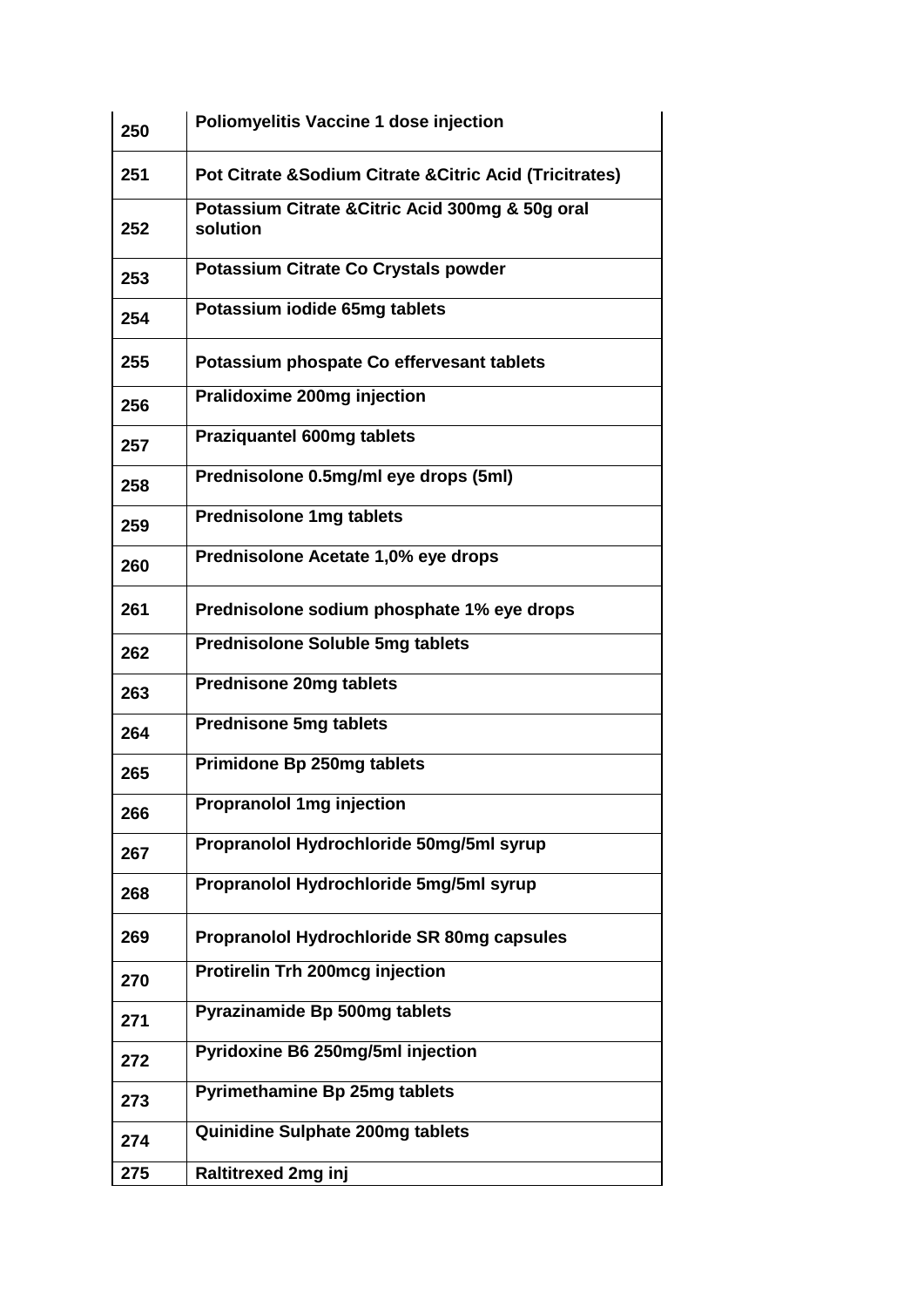| 250 | Poliomyelitis Vaccine 1 dose injection                       |
|-----|--------------------------------------------------------------|
| 251 | Pot Citrate & Sodium Citrate & Citric Acid (Tricitrates)     |
| 252 | Potassium Citrate & Citric Acid 300mg & 50g oral<br>solution |
| 253 | Potassium Citrate Co Crystals powder                         |
| 254 | Potassium iodide 65mg tablets                                |
| 255 | Potassium phospate Co effervesant tablets                    |
| 256 | Pralidoxime 200mg injection                                  |
| 257 | <b>Praziquantel 600mg tablets</b>                            |
| 258 | Prednisolone 0.5mg/ml eye drops (5ml)                        |
| 259 | <b>Prednisolone 1mg tablets</b>                              |
| 260 | Prednisolone Acetate 1,0% eye drops                          |
| 261 | Prednisolone sodium phosphate 1% eye drops                   |
| 262 | <b>Prednisolone Soluble 5mg tablets</b>                      |
| 263 | <b>Prednisone 20mg tablets</b>                               |
| 264 | <b>Prednisone 5mg tablets</b>                                |
| 265 | Primidone Bp 250mg tablets                                   |
| 266 | <b>Propranolol 1mg injection</b>                             |
| 267 | Propranolol Hydrochloride 50mg/5ml syrup                     |
| 268 | Propranolol Hydrochloride 5mg/5ml syrup                      |
| 269 | Propranolol Hydrochloride SR 80mg capsules                   |
| 270 | <b>Protirelin Trh 200mcg injection</b>                       |
| 271 | Pyrazinamide Bp 500mg tablets                                |
| 272 | Pyridoxine B6 250mg/5ml injection                            |
| 273 | <b>Pyrimethamine Bp 25mg tablets</b>                         |
| 274 | Quinidine Sulphate 200mg tablets                             |
| 275 | <b>Raltitrexed 2mg inj</b>                                   |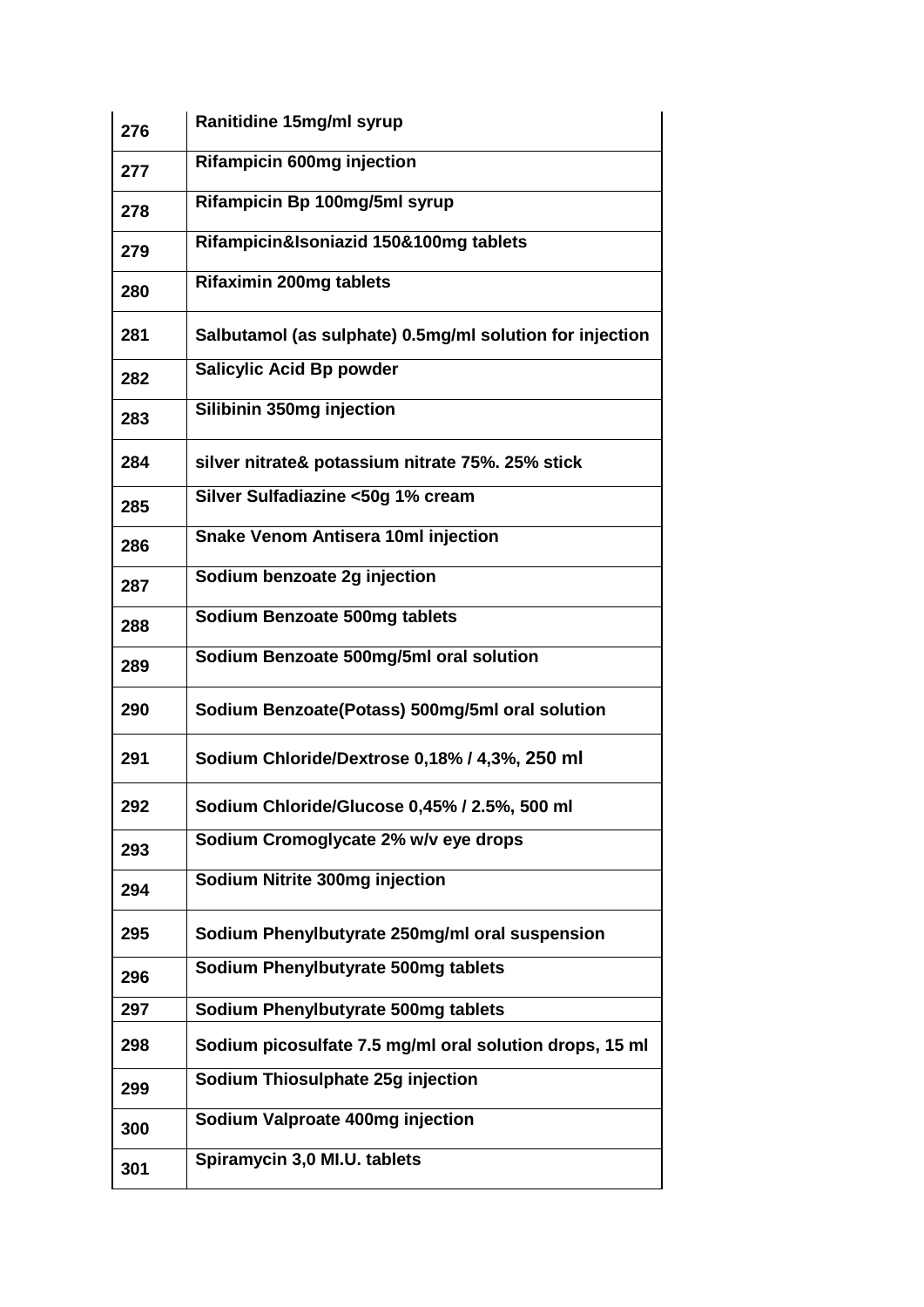| 276 | Ranitidine 15mg/ml syrup                                 |
|-----|----------------------------------------------------------|
| 277 | <b>Rifampicin 600mg injection</b>                        |
| 278 | Rifampicin Bp 100mg/5ml syrup                            |
| 279 | Rifampicin&Isoniazid 150&100mg tablets                   |
| 280 | <b>Rifaximin 200mg tablets</b>                           |
| 281 | Salbutamol (as sulphate) 0.5mg/ml solution for injection |
| 282 | <b>Salicylic Acid Bp powder</b>                          |
| 283 | Silibinin 350mg injection                                |
| 284 | silver nitrate& potassium nitrate 75%. 25% stick         |
| 285 | Silver Sulfadiazine <50g 1% cream                        |
| 286 | <b>Snake Venom Antisera 10ml injection</b>               |
| 287 | Sodium benzoate 2g injection                             |
| 288 | Sodium Benzoate 500mg tablets                            |
| 289 | Sodium Benzoate 500mg/5ml oral solution                  |
| 290 | Sodium Benzoate(Potass) 500mg/5ml oral solution          |
| 291 | Sodium Chloride/Dextrose 0,18% / 4,3%, 250 ml            |
| 292 | Sodium Chloride/Glucose 0,45% / 2.5%, 500 ml             |
| 293 | Sodium Cromoglycate 2% w/v eye drops                     |
| 294 | Sodium Nitrite 300mg injection                           |
| 295 | Sodium Phenylbutyrate 250mg/ml oral suspension           |
| 296 | Sodium Phenylbutyrate 500mg tablets                      |
| 297 | Sodium Phenylbutyrate 500mg tablets                      |
| 298 | Sodium picosulfate 7.5 mg/ml oral solution drops, 15 ml  |
| 299 | Sodium Thiosulphate 25g injection                        |
| 300 | Sodium Valproate 400mg injection                         |
| 301 | Spiramycin 3,0 MI.U. tablets                             |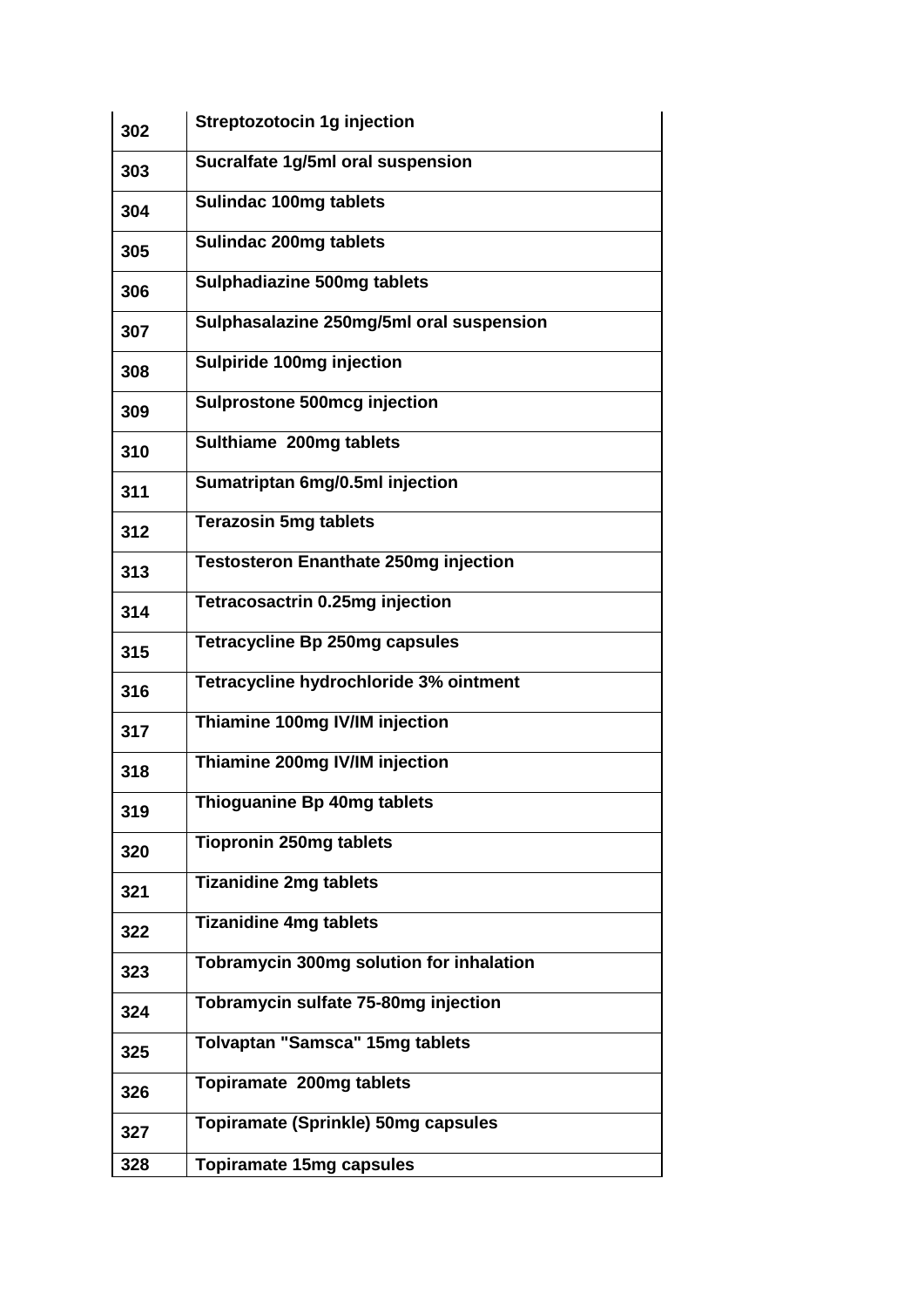| 302 | <b>Streptozotocin 1g injection</b>           |
|-----|----------------------------------------------|
| 303 | Sucralfate 1g/5ml oral suspension            |
| 304 | <b>Sulindac 100mg tablets</b>                |
| 305 | <b>Sulindac 200mg tablets</b>                |
| 306 | Sulphadiazine 500mg tablets                  |
| 307 | Sulphasalazine 250mg/5ml oral suspension     |
| 308 | Sulpiride 100mg injection                    |
| 309 | <b>Sulprostone 500mcg injection</b>          |
| 310 | Sulthiame 200mg tablets                      |
| 311 | Sumatriptan 6mg/0.5ml injection              |
| 312 | <b>Terazosin 5mg tablets</b>                 |
| 313 | <b>Testosteron Enanthate 250mg injection</b> |
| 314 | Tetracosactrin 0.25mg injection              |
| 315 | <b>Tetracycline Bp 250mg capsules</b>        |
| 316 | Tetracycline hydrochloride 3% ointment       |
| 317 | Thiamine 100mg IV/IM injection               |
| 318 | Thiamine 200mg IV/IM injection               |
| 319 | Thioguanine Bp 40mg tablets                  |
| 320 | <b>Tiopronin 250mg tablets</b>               |
| 321 | <b>Tizanidine 2mg tablets</b>                |
| 322 | <b>Tizanidine 4mg tablets</b>                |
| 323 | Tobramycin 300mg solution for inhalation     |
| 324 | Tobramycin sulfate 75-80mg injection         |
| 325 | <b>Tolvaptan "Samsca" 15mg tablets</b>       |
| 326 | Topiramate 200mg tablets                     |
| 327 | <b>Topiramate (Sprinkle) 50mg capsules</b>   |
| 328 | <b>Topiramate 15mg capsules</b>              |